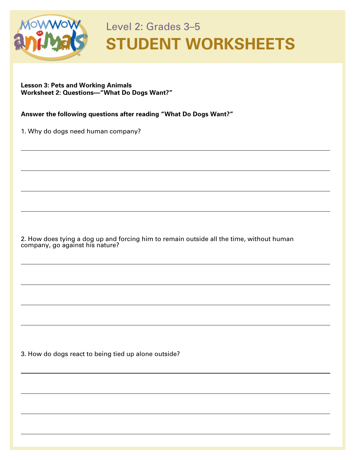

 $\overline{a}$ 

 $\overline{a}$ 

 $\overline{a}$ 

## Level 2: Grades 3–5 **STUDENT WORKSHEETS**

 $\overline{a}$ 

 $\overline{a}$ 

 $\overline{a}$ 

 $\overline{a}$ 

 $\overline{a}$ 

 $\overline{a}$ 

 $\overline{a}$ 

 $\overline{a}$ 

 $\overline{a}$ 

## **Lesson 3: Pets and Working Animals Worksheet 2: Questions—"What Do Dogs Want?"**

**Answer the following questions after reading "What Do Dogs Want?"**

1. Why do dogs need human company?

2. How does tying a dog up and forcing him to remain outside all the time, without human company, go against his nature?

3. How do dogs react to being tied up alone outside?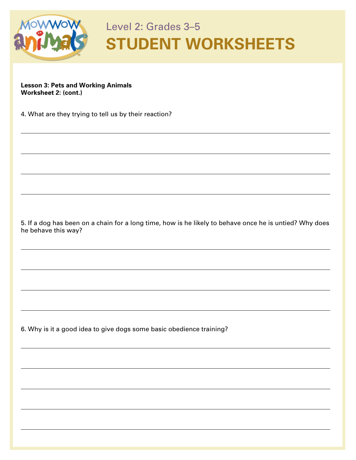

 $\overline{a}$ 

 $\overline{a}$ 

 $\overline{a}$ 

## Level 2: Grades 3–5 **STUDENT WORKSHEETS**

 $\overline{a}$ 

 $\overline{a}$ 

 $\overline{a}$ 

 $\overline{a}$ 

 $\overline{a}$ 

 $\overline{a}$ 

 $\overline{a}$ 

 $\overline{a}$ 

 $\overline{a}$ 

 $\overline{a}$ 

**Lesson 3: Pets and Working Animals Worksheet 2: (cont.)**

4. What are they trying to tell us by their reaction?

5. If a dog has been on a chain for a long time, how is he likely to behave once he is untied? Why does he behave this way?

6. Why is it a good idea to give dogs some basic obedience training?